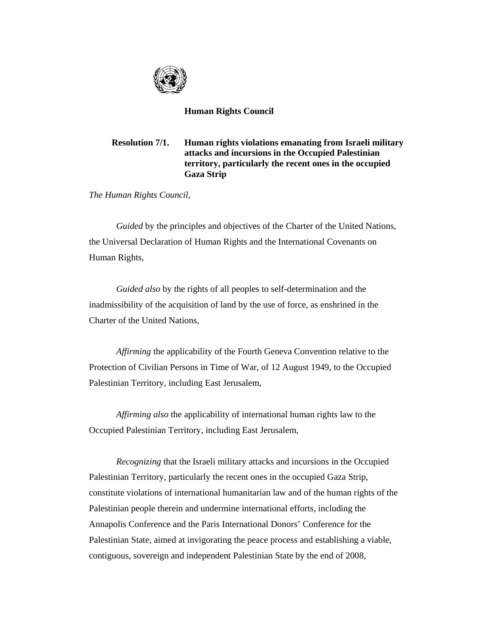

## **Human Rights Council**

## **Resolution 7/1. Human rights violations emanating from Israeli military attacks and incursions in the Occupied Palestinian territory, particularly the recent ones in the occupied Gaza Strip**

*The Human Rights Council*,

*Guided* by the principles and objectives of the Charter of the United Nations, the Universal Declaration of Human Rights and the International Covenants on Human Rights,

*Guided also* by the rights of all peoples to self-determination and the inadmissibility of the acquisition of land by the use of force, as enshrined in the Charter of the United Nations,

*Affirming* the applicability of the Fourth Geneva Convention relative to the Protection of Civilian Persons in Time of War, of 12 August 1949, to the Occupied Palestinian Territory, including East Jerusalem,

*Affirming also* the applicability of international human rights law to the Occupied Palestinian Territory, including East Jerusalem,

*Recognizing* that the Israeli military attacks and incursions in the Occupied Palestinian Territory, particularly the recent ones in the occupied Gaza Strip, constitute violations of international humanitarian law and of the human rights of the Palestinian people therein and undermine international efforts, including the Annapolis Conference and the Paris International Donors' Conference for the Palestinian State, aimed at invigorating the peace process and establishing a viable, contiguous, sovereign and independent Palestinian State by the end of 2008,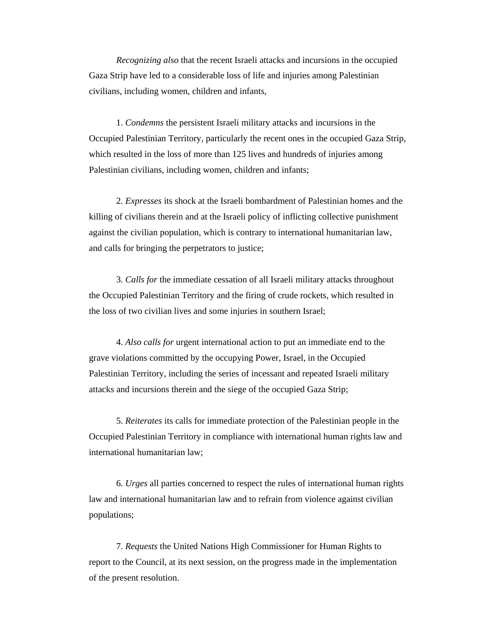*Recognizing also* that the recent Israeli attacks and incursions in the occupied Gaza Strip have led to a considerable loss of life and injuries among Palestinian civilians, including women, children and infants,

1. *Condemns* the persistent Israeli military attacks and incursions in the Occupied Palestinian Territory, particularly the recent ones in the occupied Gaza Strip, which resulted in the loss of more than 125 lives and hundreds of injuries among Palestinian civilians, including women, children and infants;

2. *Expresses* its shock at the Israeli bombardment of Palestinian homes and the killing of civilians therein and at the Israeli policy of inflicting collective punishment against the civilian population, which is contrary to international humanitarian law, and calls for bringing the perpetrators to justice;

3. *Calls for* the immediate cessation of all Israeli military attacks throughout the Occupied Palestinian Territory and the firing of crude rockets, which resulted in the loss of two civilian lives and some injuries in southern Israel;

4. *Also calls for* urgent international action to put an immediate end to the grave violations committed by the occupying Power, Israel, in the Occupied Palestinian Territory, including the series of incessant and repeated Israeli military attacks and incursions therein and the siege of the occupied Gaza Strip;

5. *Reiterates* its calls for immediate protection of the Palestinian people in the Occupied Palestinian Territory in compliance with international human rights law and international humanitarian law;

6. *Urges* all parties concerned to respect the rules of international human rights law and international humanitarian law and to refrain from violence against civilian populations;

7. *Requests* the United Nations High Commissioner for Human Rights to report to the Council, at its next session, on the progress made in the implementation of the present resolution.